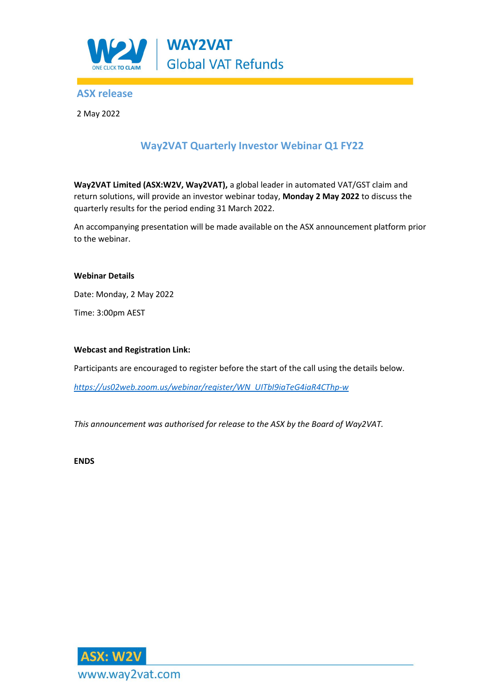

## **ASX release**

2 May 2022

# **Way2VAT Quarterly Investor Webinar Q1 FY22**

**Way2VAT Limited (ASX:W2V, Way2VAT),** a global leader in automated VAT/GST claim and return solutions, will provide an investor webinar today, **Monday 2 May 2022** to discuss the quarterly results for the period ending 31 March 2022.

An accompanying presentation will be made available on the ASX announcement platform prior to the webinar.

#### **Webinar Details**

Date: Monday, 2 May 2022

Time: 3:00pm AEST

#### **Webcast and Registration Link:**

Participants are encouraged to register before the start of the call using the details below.

*[https://us02web.zoom.us/webinar/register/WN\\_UITbI9iaTeG4iaR4CThp-w](https://us02web.zoom.us/webinar/register/WN_UITbI9iaTeG4iaR4CThp-w)*

*This announcement was authorised for release to the ASX by the Board of Way2VAT.*

**ENDS**